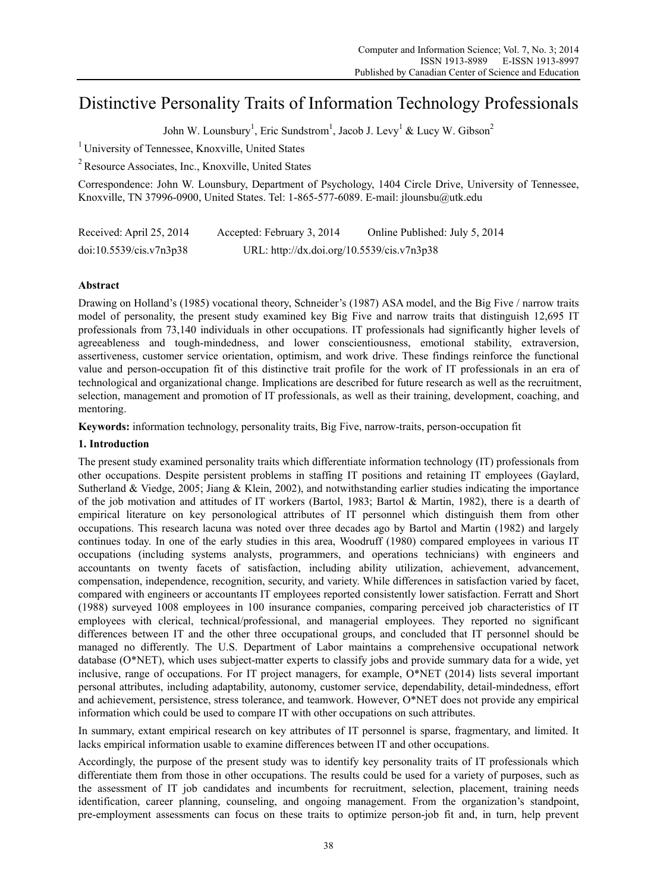# Distinctive Personality Traits of Information Technology Professionals

John W. Lounsbury<sup>1</sup>, Eric Sundstrom<sup>1</sup>, Jacob J. Levy<sup>1</sup> & Lucy W. Gibson<sup>2</sup>

<sup>1</sup> University of Tennessee, Knoxville, United States

2 Resource Associates, Inc., Knoxville, United States

Correspondence: John W. Lounsbury, Department of Psychology, 1404 Circle Drive, University of Tennessee, Knoxville, TN 37996-0900, United States. Tel: 1-865-577-6089. E-mail: jlounsbu@utk.edu

| Received: April 25, 2014 | Accepted: February 3, 2014                 | Online Published: July 5, 2014 |
|--------------------------|--------------------------------------------|--------------------------------|
| doi:10.5539/cis.v7n3p38  | URL: http://dx.doi.org/10.5539/cis.v7n3p38 |                                |

# **Abstract**

Drawing on Holland's (1985) vocational theory, Schneider's (1987) ASA model, and the Big Five / narrow traits model of personality, the present study examined key Big Five and narrow traits that distinguish 12,695 IT professionals from 73,140 individuals in other occupations. IT professionals had significantly higher levels of agreeableness and tough-mindedness, and lower conscientiousness, emotional stability, extraversion, assertiveness, customer service orientation, optimism, and work drive. These findings reinforce the functional value and person-occupation fit of this distinctive trait profile for the work of IT professionals in an era of technological and organizational change. Implications are described for future research as well as the recruitment, selection, management and promotion of IT professionals, as well as their training, development, coaching, and mentoring.

**Keywords:** information technology, personality traits, Big Five, narrow-traits, person-occupation fit

# **1. Introduction**

The present study examined personality traits which differentiate information technology (IT) professionals from other occupations. Despite persistent problems in staffing IT positions and retaining IT employees (Gaylard, Sutherland & Viedge, 2005; Jiang & Klein, 2002), and notwithstanding earlier studies indicating the importance of the job motivation and attitudes of IT workers (Bartol, 1983; Bartol & Martin, 1982), there is a dearth of empirical literature on key personological attributes of IT personnel which distinguish them from other occupations. This research lacuna was noted over three decades ago by Bartol and Martin (1982) and largely continues today. In one of the early studies in this area, Woodruff (1980) compared employees in various IT occupations (including systems analysts, programmers, and operations technicians) with engineers and accountants on twenty facets of satisfaction, including ability utilization, achievement, advancement, compensation, independence, recognition, security, and variety. While differences in satisfaction varied by facet, compared with engineers or accountants IT employees reported consistently lower satisfaction. Ferratt and Short (1988) surveyed 1008 employees in 100 insurance companies, comparing perceived job characteristics of IT employees with clerical, technical/professional, and managerial employees. They reported no significant differences between IT and the other three occupational groups, and concluded that IT personnel should be managed no differently. The U.S. Department of Labor maintains a comprehensive occupational network database (O\*NET), which uses subject-matter experts to classify jobs and provide summary data for a wide, yet inclusive, range of occupations. For IT project managers, for example, O\*NET (2014) lists several important personal attributes, including adaptability, autonomy, customer service, dependability, detail-mindedness, effort and achievement, persistence, stress tolerance, and teamwork. However, O\*NET does not provide any empirical information which could be used to compare IT with other occupations on such attributes.

In summary, extant empirical research on key attributes of IT personnel is sparse, fragmentary, and limited. It lacks empirical information usable to examine differences between IT and other occupations.

Accordingly, the purpose of the present study was to identify key personality traits of IT professionals which differentiate them from those in other occupations. The results could be used for a variety of purposes, such as the assessment of IT job candidates and incumbents for recruitment, selection, placement, training needs identification, career planning, counseling, and ongoing management. From the organization's standpoint, pre-employment assessments can focus on these traits to optimize person-job fit and, in turn, help prevent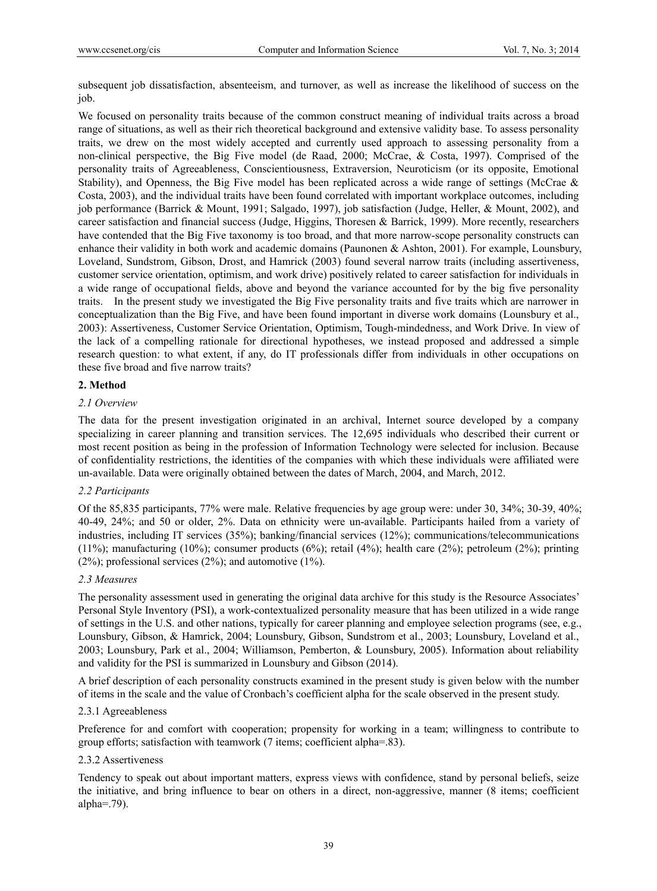subsequent job dissatisfaction, absenteeism, and turnover, as well as increase the likelihood of success on the job.

We focused on personality traits because of the common construct meaning of individual traits across a broad range of situations, as well as their rich theoretical background and extensive validity base. To assess personality traits, we drew on the most widely accepted and currently used approach to assessing personality from a non-clinical perspective, the Big Five model (de Raad, 2000; McCrae, & Costa, 1997). Comprised of the personality traits of Agreeableness, Conscientiousness, Extraversion, Neuroticism (or its opposite, Emotional Stability), and Openness, the Big Five model has been replicated across a wide range of settings (McCrae & Costa, 2003), and the individual traits have been found correlated with important workplace outcomes, including job performance (Barrick & Mount, 1991; Salgado, 1997), job satisfaction (Judge, Heller, & Mount, 2002), and career satisfaction and financial success (Judge, Higgins, Thoresen & Barrick, 1999). More recently, researchers have contended that the Big Five taxonomy is too broad, and that more narrow-scope personality constructs can enhance their validity in both work and academic domains (Paunonen & Ashton, 2001). For example, Lounsbury, Loveland, Sundstrom, Gibson, Drost, and Hamrick (2003) found several narrow traits (including assertiveness, customer service orientation, optimism, and work drive) positively related to career satisfaction for individuals in a wide range of occupational fields, above and beyond the variance accounted for by the big five personality traits. In the present study we investigated the Big Five personality traits and five traits which are narrower in conceptualization than the Big Five, and have been found important in diverse work domains (Lounsbury et al., 2003): Assertiveness, Customer Service Orientation, Optimism, Tough-mindedness, and Work Drive. In view of the lack of a compelling rationale for directional hypotheses, we instead proposed and addressed a simple research question: to what extent, if any, do IT professionals differ from individuals in other occupations on these five broad and five narrow traits?

## **2. Method**

# *2.1 Overview*

The data for the present investigation originated in an archival, Internet source developed by a company specializing in career planning and transition services. The 12,695 individuals who described their current or most recent position as being in the profession of Information Technology were selected for inclusion. Because of confidentiality restrictions, the identities of the companies with which these individuals were affiliated were un-available. Data were originally obtained between the dates of March, 2004, and March, 2012.

## *2.2 Participants*

Of the 85,835 participants, 77% were male. Relative frequencies by age group were: under 30, 34%; 30-39, 40%; 40-49, 24%; and 50 or older, 2%. Data on ethnicity were un-available. Participants hailed from a variety of industries, including IT services (35%); banking/financial services (12%); communications/telecommunications (11%); manufacturing (10%); consumer products  $(6\%)$ ; retail  $(4\%)$ ; health care  $(2\%)$ ; petroleum  $(2\%)$ ; printing  $(2\%)$ ; professional services  $(2\%)$ ; and automotive  $(1\%)$ .

## *2.3 Measures*

The personality assessment used in generating the original data archive for this study is the Resource Associates' Personal Style Inventory (PSI), a work-contextualized personality measure that has been utilized in a wide range of settings in the U.S. and other nations, typically for career planning and employee selection programs (see, e.g., Lounsbury, Gibson, & Hamrick, 2004; Lounsbury, Gibson, Sundstrom et al., 2003; Lounsbury, Loveland et al., 2003; Lounsbury, Park et al., 2004; Williamson, Pemberton, & Lounsbury, 2005). Information about reliability and validity for the PSI is summarized in Lounsbury and Gibson (2014).

A brief description of each personality constructs examined in the present study is given below with the number of items in the scale and the value of Cronbach's coefficient alpha for the scale observed in the present study.

## 2.3.1 Agreeableness

Preference for and comfort with cooperation; propensity for working in a team; willingness to contribute to group efforts; satisfaction with teamwork (7 items; coefficient alpha=.83).

## 2.3.2 Assertiveness

Tendency to speak out about important matters, express views with confidence, stand by personal beliefs, seize the initiative, and bring influence to bear on others in a direct, non-aggressive, manner (8 items; coefficient alpha=.79).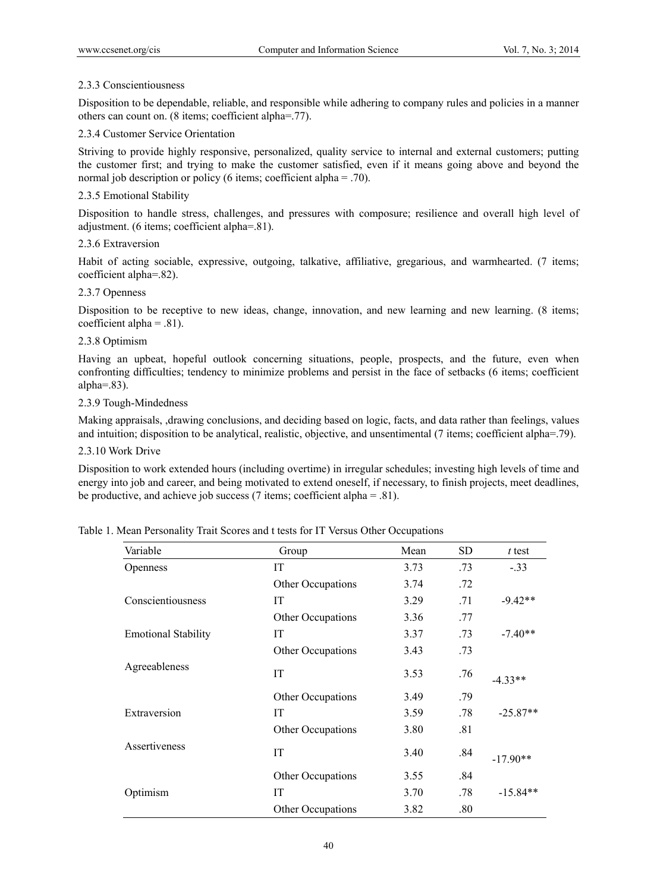## 2.3.3 Conscientiousness

Disposition to be dependable, reliable, and responsible while adhering to company rules and policies in a manner others can count on. (8 items; coefficient alpha=.77).

## 2.3.4 Customer Service Orientation

Striving to provide highly responsive, personalized, quality service to internal and external customers; putting the customer first; and trying to make the customer satisfied, even if it means going above and beyond the normal job description or policy (6 items; coefficient alpha = .70).

# 2.3.5 Emotional Stability

Disposition to handle stress, challenges, and pressures with composure; resilience and overall high level of adjustment. (6 items; coefficient alpha=.81).

## 2.3.6 Extraversion

Habit of acting sociable, expressive, outgoing, talkative, affiliative, gregarious, and warmhearted. (7 items; coefficient alpha=.82).

## 2.3.7 Openness

Disposition to be receptive to new ideas, change, innovation, and new learning and new learning. (8 items; coefficient alpha  $= .81$ ).

# 2.3.8 Optimism

Having an upbeat, hopeful outlook concerning situations, people, prospects, and the future, even when confronting difficulties; tendency to minimize problems and persist in the face of setbacks (6 items; coefficient alpha $=$ .83).

# 2.3.9 Tough-Mindedness

Making appraisals, ,drawing conclusions, and deciding based on logic, facts, and data rather than feelings, values and intuition; disposition to be analytical, realistic, objective, and unsentimental (7 items; coefficient alpha=.79).

# 2.3.10 Work Drive

Disposition to work extended hours (including overtime) in irregular schedules; investing high levels of time and energy into job and career, and being motivated to extend oneself, if necessary, to finish projects, meet deadlines, be productive, and achieve job success (7 items; coefficient alpha = .81).

| Variable                   | Group                    | Mean | <b>SD</b> | $t$ test   |
|----------------------------|--------------------------|------|-----------|------------|
| Openness                   | IT                       | 3.73 | .73       | $-33$      |
|                            | Other Occupations        | 3.74 | .72       |            |
| Conscientiousness          | IT                       | 3.29 | .71       | $-9.42**$  |
|                            | Other Occupations        | 3.36 | .77       |            |
| <b>Emotional Stability</b> | IT                       | 3.37 | .73       | $-7.40**$  |
|                            | Other Occupations        | 3.43 | .73       |            |
| Agreeableness              | IT                       | 3.53 | .76       | $-4.33**$  |
|                            | Other Occupations        | 3.49 | .79       |            |
| Extraversion               | IT                       | 3.59 | .78       | $-25.87**$ |
|                            | Other Occupations        | 3.80 | .81       |            |
| Assertiveness              | IT                       | 3.40 | .84       | $-17.90**$ |
| Optimism                   | Other Occupations        | 3.55 | .84       |            |
|                            | IT                       | 3.70 | .78       | $-15.84**$ |
|                            | <b>Other Occupations</b> | 3.82 | .80       |            |

Table 1. Mean Personality Trait Scores and t tests for IT Versus Other Occupations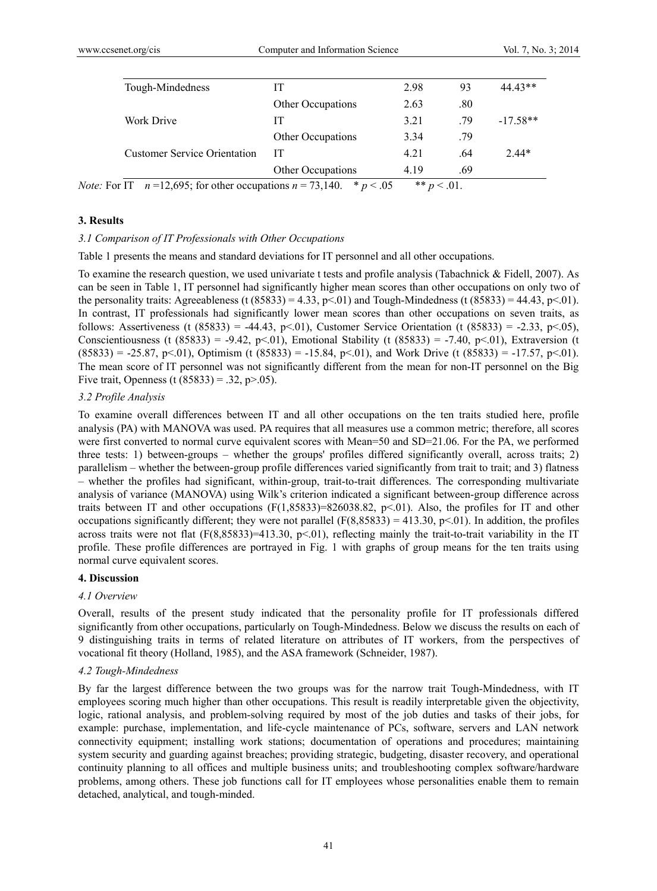| IТ                | 2.98 | 93  | 44.43**    |
|-------------------|------|-----|------------|
| Other Occupations | 2.63 | .80 |            |
| IТ                | 3.21 | .79 | $-17.58**$ |
| Other Occupations | 3.34 | .79 |            |
| IT                | 4.21 | .64 | $2.44*$    |
| Other Occupations | 4.19 | .69 |            |
|                   |      |     |            |

*Note:* For IT  $n = 12,695$ ; for other occupations  $n = 73,140$ .  $\ast p < 0.05$   $\ast \ast p < 0.01$ .

#### **3. Results**

## *3.1 Comparison of IT Professionals with Other Occupations*

Table 1 presents the means and standard deviations for IT personnel and all other occupations.

To examine the research question, we used univariate t tests and profile analysis (Tabachnick & Fidell, 2007). As can be seen in Table 1, IT personnel had significantly higher mean scores than other occupations on only two of the personality traits: Agreeableness (t (85833) = 4.33, p < 01) and Tough-Mindedness (t (85833) = 44.43, p < 01). In contrast, IT professionals had significantly lower mean scores than other occupations on seven traits, as follows: Assertiveness (t  $(85833) = -44.43$ , p<.01), Customer Service Orientation (t  $(85833) = -2.33$ , p<.05), Conscientiousness (t (85833) = -9.42, p <. 01), Emotional Stability (t (85833) = -7.40, p <. 01), Extraversion (t  $(85833) = -25.87$ , p<.01), Optimism (t  $(85833) = -15.84$ , p<.01), and Work Drive (t  $(85833) = -17.57$ , p<.01). The mean score of IT personnel was not significantly different from the mean for non-IT personnel on the Big Five trait, Openness (t  $(85833) = .32$ , p>.05).

## *3.2 Profile Analysis*

To examine overall differences between IT and all other occupations on the ten traits studied here, profile analysis (PA) with MANOVA was used. PA requires that all measures use a common metric; therefore, all scores were first converted to normal curve equivalent scores with Mean=50 and SD=21.06. For the PA, we performed three tests: 1) between-groups – whether the groups' profiles differed significantly overall, across traits; 2) parallelism – whether the between-group profile differences varied significantly from trait to trait; and 3) flatness – whether the profiles had significant, within-group, trait-to-trait differences. The corresponding multivariate analysis of variance (MANOVA) using Wilk's criterion indicated a significant between-group difference across traits between IT and other occupations  $(F(1,85833)=826038.82, p<0.01)$ . Also, the profiles for IT and other occupations significantly different; they were not parallel  $(F(8,85833) = 413.30, p<0.01)$ . In addition, the profiles across traits were not flat  $(F(8,85833)=413.30, p<01)$ , reflecting mainly the trait-to-trait variability in the IT profile. These profile differences are portrayed in Fig. 1 with graphs of group means for the ten traits using normal curve equivalent scores.

## **4. Discussion**

## *4.1 Overview*

Overall, results of the present study indicated that the personality profile for IT professionals differed significantly from other occupations, particularly on Tough-Mindedness. Below we discuss the results on each of 9 distinguishing traits in terms of related literature on attributes of IT workers, from the perspectives of vocational fit theory (Holland, 1985), and the ASA framework (Schneider, 1987).

## *4.2 Tough-Mindedness*

By far the largest difference between the two groups was for the narrow trait Tough-Mindedness, with IT employees scoring much higher than other occupations. This result is readily interpretable given the objectivity, logic, rational analysis, and problem-solving required by most of the job duties and tasks of their jobs, for example: purchase, implementation, and life-cycle maintenance of PCs, software, servers and LAN network connectivity equipment; installing work stations; documentation of operations and procedures; maintaining system security and guarding against breaches; providing strategic, budgeting, disaster recovery, and operational continuity planning to all offices and multiple business units; and troubleshooting complex software/hardware problems, among others. These job functions call for IT employees whose personalities enable them to remain detached, analytical, and tough-minded.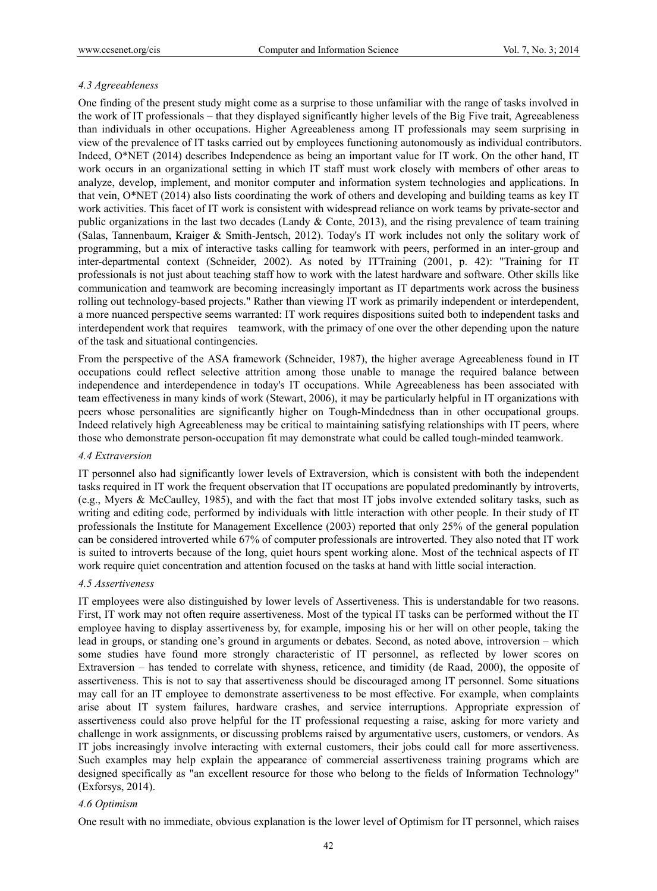# *4.3 Agreeableness*

One finding of the present study might come as a surprise to those unfamiliar with the range of tasks involved in the work of IT professionals – that they displayed significantly higher levels of the Big Five trait, Agreeableness than individuals in other occupations. Higher Agreeableness among IT professionals may seem surprising in view of the prevalence of IT tasks carried out by employees functioning autonomously as individual contributors. Indeed, O\*NET (2014) describes Independence as being an important value for IT work. On the other hand, IT work occurs in an organizational setting in which IT staff must work closely with members of other areas to analyze, develop, implement, and monitor computer and information system technologies and applications. In that vein, O\*NET (2014) also lists coordinating the work of others and developing and building teams as key IT work activities. This facet of IT work is consistent with widespread reliance on work teams by private-sector and public organizations in the last two decades (Landy & Conte, 2013), and the rising prevalence of team training (Salas, Tannenbaum, Kraiger & Smith-Jentsch, 2012). Today's IT work includes not only the solitary work of programming, but a mix of interactive tasks calling for teamwork with peers, performed in an inter-group and inter-departmental context (Schneider, 2002). As noted by ITTraining (2001, p. 42): "Training for IT professionals is not just about teaching staff how to work with the latest hardware and software. Other skills like communication and teamwork are becoming increasingly important as IT departments work across the business rolling out technology-based projects." Rather than viewing IT work as primarily independent or interdependent, a more nuanced perspective seems warranted: IT work requires dispositions suited both to independent tasks and interdependent work that requires teamwork, with the primacy of one over the other depending upon the nature of the task and situational contingencies.

From the perspective of the ASA framework (Schneider, 1987), the higher average Agreeableness found in IT occupations could reflect selective attrition among those unable to manage the required balance between independence and interdependence in today's IT occupations. While Agreeableness has been associated with team effectiveness in many kinds of work (Stewart, 2006), it may be particularly helpful in IT organizations with peers whose personalities are significantly higher on Tough-Mindedness than in other occupational groups. Indeed relatively high Agreeableness may be critical to maintaining satisfying relationships with IT peers, where those who demonstrate person-occupation fit may demonstrate what could be called tough-minded teamwork.

## *4.4 Extraversion*

IT personnel also had significantly lower levels of Extraversion, which is consistent with both the independent tasks required in IT work the frequent observation that IT occupations are populated predominantly by introverts, (e.g., Myers & McCaulley, 1985), and with the fact that most IT jobs involve extended solitary tasks, such as writing and editing code, performed by individuals with little interaction with other people. In their study of IT professionals the Institute for Management Excellence (2003) reported that only 25% of the general population can be considered introverted while 67% of computer professionals are introverted. They also noted that IT work is suited to introverts because of the long, quiet hours spent working alone. Most of the technical aspects of IT work require quiet concentration and attention focused on the tasks at hand with little social interaction.

## *4.5 Assertiveness*

IT employees were also distinguished by lower levels of Assertiveness. This is understandable for two reasons. First, IT work may not often require assertiveness. Most of the typical IT tasks can be performed without the IT employee having to display assertiveness by, for example, imposing his or her will on other people, taking the lead in groups, or standing one's ground in arguments or debates. Second, as noted above, introversion – which some studies have found more strongly characteristic of IT personnel, as reflected by lower scores on Extraversion – has tended to correlate with shyness, reticence, and timidity (de Raad, 2000), the opposite of assertiveness. This is not to say that assertiveness should be discouraged among IT personnel. Some situations may call for an IT employee to demonstrate assertiveness to be most effective. For example, when complaints arise about IT system failures, hardware crashes, and service interruptions. Appropriate expression of assertiveness could also prove helpful for the IT professional requesting a raise, asking for more variety and challenge in work assignments, or discussing problems raised by argumentative users, customers, or vendors. As IT jobs increasingly involve interacting with external customers, their jobs could call for more assertiveness. Such examples may help explain the appearance of commercial assertiveness training programs which are designed specifically as "an excellent resource for those who belong to the fields of Information Technology" (Exforsys, 2014).

## *4.6 Optimism*

One result with no immediate, obvious explanation is the lower level of Optimism for IT personnel, which raises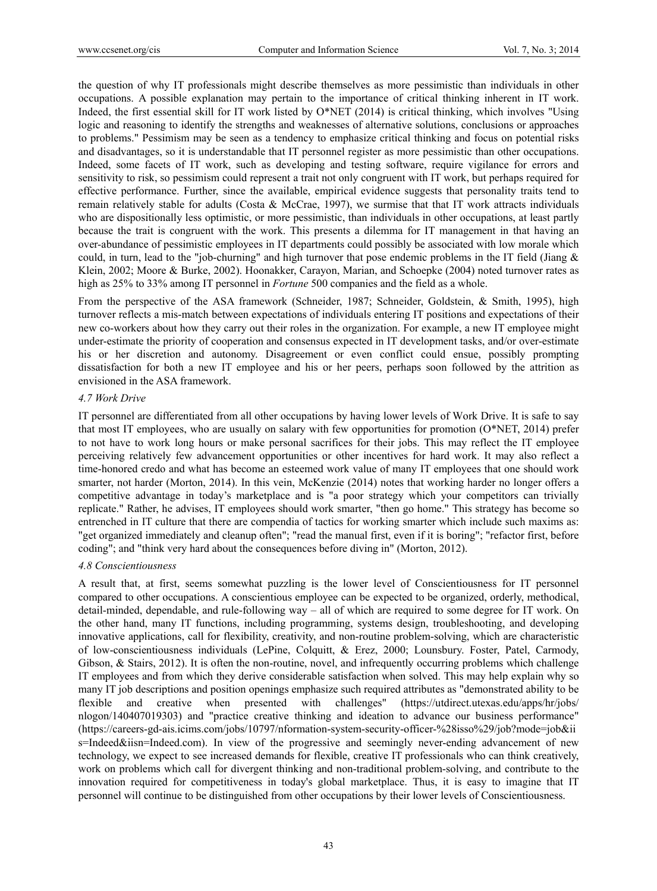the question of why IT professionals might describe themselves as more pessimistic than individuals in other occupations. A possible explanation may pertain to the importance of critical thinking inherent in IT work. Indeed, the first essential skill for IT work listed by  $O^*NET (2014)$  is critical thinking, which involves "Using logic and reasoning to identify the strengths and weaknesses of alternative solutions, conclusions or approaches to problems." Pessimism may be seen as a tendency to emphasize critical thinking and focus on potential risks and disadvantages, so it is understandable that IT personnel register as more pessimistic than other occupations. Indeed, some facets of IT work, such as developing and testing software, require vigilance for errors and sensitivity to risk, so pessimism could represent a trait not only congruent with IT work, but perhaps required for effective performance. Further, since the available, empirical evidence suggests that personality traits tend to remain relatively stable for adults (Costa & McCrae, 1997), we surmise that that IT work attracts individuals who are dispositionally less optimistic, or more pessimistic, than individuals in other occupations, at least partly because the trait is congruent with the work. This presents a dilemma for IT management in that having an over-abundance of pessimistic employees in IT departments could possibly be associated with low morale which could, in turn, lead to the "job-churning" and high turnover that pose endemic problems in the IT field (Jiang & Klein, 2002; Moore & Burke, 2002). Hoonakker, Carayon, Marian, and Schoepke (2004) noted turnover rates as high as 25% to 33% among IT personnel in *Fortune* 500 companies and the field as a whole.

From the perspective of the ASA framework (Schneider, 1987; Schneider, Goldstein, & Smith, 1995), high turnover reflects a mis-match between expectations of individuals entering IT positions and expectations of their new co-workers about how they carry out their roles in the organization. For example, a new IT employee might under-estimate the priority of cooperation and consensus expected in IT development tasks, and/or over-estimate his or her discretion and autonomy. Disagreement or even conflict could ensue, possibly prompting dissatisfaction for both a new IT employee and his or her peers, perhaps soon followed by the attrition as envisioned in the ASA framework.

#### *4.7 Work Drive*

IT personnel are differentiated from all other occupations by having lower levels of Work Drive. It is safe to say that most IT employees, who are usually on salary with few opportunities for promotion (O\*NET, 2014) prefer to not have to work long hours or make personal sacrifices for their jobs. This may reflect the IT employee perceiving relatively few advancement opportunities or other incentives for hard work. It may also reflect a time-honored credo and what has become an esteemed work value of many IT employees that one should work smarter, not harder (Morton, 2014). In this vein, McKenzie (2014) notes that working harder no longer offers a competitive advantage in today's marketplace and is "a poor strategy which your competitors can trivially replicate." Rather, he advises, IT employees should work smarter, "then go home." This strategy has become so entrenched in IT culture that there are compendia of tactics for working smarter which include such maxims as: "get organized immediately and cleanup often"; "read the manual first, even if it is boring"; "refactor first, before coding"; and "think very hard about the consequences before diving in" (Morton, 2012).

## *4.8 Conscientiousness*

A result that, at first, seems somewhat puzzling is the lower level of Conscientiousness for IT personnel compared to other occupations. A conscientious employee can be expected to be organized, orderly, methodical, detail-minded, dependable, and rule-following way – all of which are required to some degree for IT work. On the other hand, many IT functions, including programming, systems design, troubleshooting, and developing innovative applications, call for flexibility, creativity, and non-routine problem-solving, which are characteristic of low-conscientiousness individuals (LePine, Colquitt, & Erez, 2000; Lounsbury. Foster, Patel, Carmody, Gibson, & Stairs, 2012). It is often the non-routine, novel, and infrequently occurring problems which challenge IT employees and from which they derive considerable satisfaction when solved. This may help explain why so many IT job descriptions and position openings emphasize such required attributes as "demonstrated ability to be flexible and creative when presented with challenges" (https://utdirect.utexas.edu/apps/hr/jobs/ nlogon/140407019303) and "practice creative thinking and ideation to advance our business performance" (https://careers-gd-ais.icims.com/jobs/10797/nformation-system-security-officer-%28isso%29/job?mode=job&ii s=Indeed&iisn=Indeed.com). In view of the progressive and seemingly never-ending advancement of new technology, we expect to see increased demands for flexible, creative IT professionals who can think creatively, work on problems which call for divergent thinking and non-traditional problem-solving, and contribute to the innovation required for competitiveness in today's global marketplace. Thus, it is easy to imagine that IT personnel will continue to be distinguished from other occupations by their lower levels of Conscientiousness.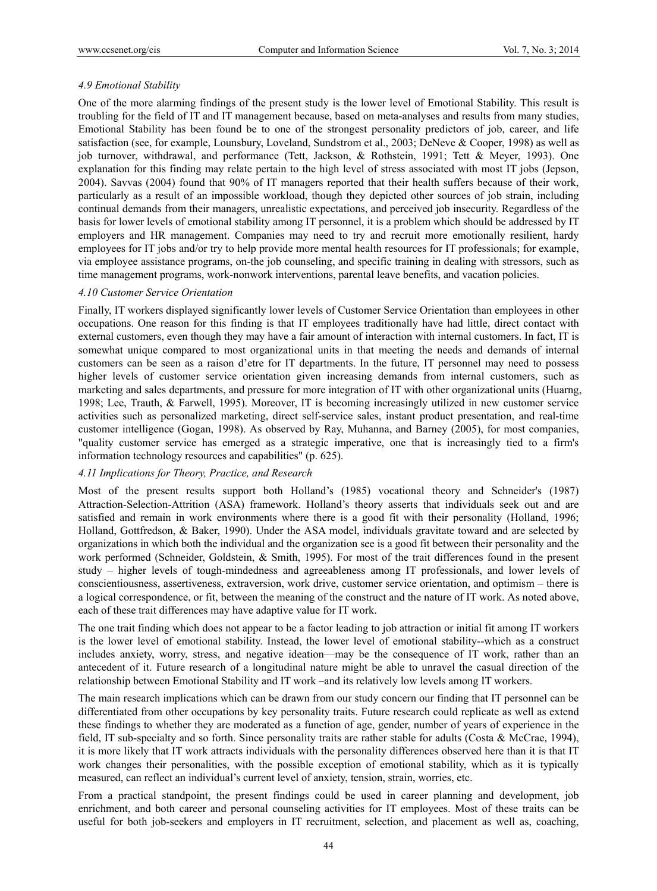# *4.9 Emotional Stability*

One of the more alarming findings of the present study is the lower level of Emotional Stability. This result is troubling for the field of IT and IT management because, based on meta-analyses and results from many studies, Emotional Stability has been found be to one of the strongest personality predictors of job, career, and life satisfaction (see, for example, Lounsbury, Loveland, Sundstrom et al., 2003; DeNeve & Cooper, 1998) as well as job turnover, withdrawal, and performance (Tett, Jackson, & Rothstein, 1991; Tett & Meyer, 1993). One explanation for this finding may relate pertain to the high level of stress associated with most IT jobs (Jepson, 2004). Savvas (2004) found that 90% of IT managers reported that their health suffers because of their work, particularly as a result of an impossible workload, though they depicted other sources of job strain, including continual demands from their managers, unrealistic expectations, and perceived job insecurity. Regardless of the basis for lower levels of emotional stability among IT personnel, it is a problem which should be addressed by IT employers and HR management. Companies may need to try and recruit more emotionally resilient, hardy employees for IT jobs and/or try to help provide more mental health resources for IT professionals; for example, via employee assistance programs, on-the job counseling, and specific training in dealing with stressors, such as time management programs, work-nonwork interventions, parental leave benefits, and vacation policies.

## *4.10 Customer Service Orientation*

Finally, IT workers displayed significantly lower levels of Customer Service Orientation than employees in other occupations. One reason for this finding is that IT employees traditionally have had little, direct contact with external customers, even though they may have a fair amount of interaction with internal customers. In fact, IT is somewhat unique compared to most organizational units in that meeting the needs and demands of internal customers can be seen as a raison d'etre for IT departments. In the future, IT personnel may need to possess higher levels of customer service orientation given increasing demands from internal customers, such as marketing and sales departments, and pressure for more integration of IT with other organizational units (Huarng, 1998; Lee, Trauth, & Farwell, 1995). Moreover, IT is becoming increasingly utilized in new customer service activities such as personalized marketing, direct self-service sales, instant product presentation, and real-time customer intelligence (Gogan, 1998). As observed by Ray, Muhanna, and Barney (2005), for most companies, "quality customer service has emerged as a strategic imperative, one that is increasingly tied to a firm's information technology resources and capabilities" (p. 625).

## *4.11 Implications for Theory, Practice, and Research*

Most of the present results support both Holland's (1985) vocational theory and Schneider's (1987) Attraction-Selection-Attrition (ASA) framework. Holland's theory asserts that individuals seek out and are satisfied and remain in work environments where there is a good fit with their personality (Holland, 1996; Holland, Gottfredson, & Baker, 1990). Under the ASA model, individuals gravitate toward and are selected by organizations in which both the individual and the organization see is a good fit between their personality and the work performed (Schneider, Goldstein, & Smith, 1995). For most of the trait differences found in the present study – higher levels of tough-mindedness and agreeableness among IT professionals, and lower levels of conscientiousness, assertiveness, extraversion, work drive, customer service orientation, and optimism – there is a logical correspondence, or fit, between the meaning of the construct and the nature of IT work. As noted above, each of these trait differences may have adaptive value for IT work.

The one trait finding which does not appear to be a factor leading to job attraction or initial fit among IT workers is the lower level of emotional stability. Instead, the lower level of emotional stability--which as a construct includes anxiety, worry, stress, and negative ideation—may be the consequence of IT work, rather than an antecedent of it. Future research of a longitudinal nature might be able to unravel the casual direction of the relationship between Emotional Stability and IT work –and its relatively low levels among IT workers.

The main research implications which can be drawn from our study concern our finding that IT personnel can be differentiated from other occupations by key personality traits. Future research could replicate as well as extend these findings to whether they are moderated as a function of age, gender, number of years of experience in the field, IT sub-specialty and so forth. Since personality traits are rather stable for adults (Costa & McCrae, 1994), it is more likely that IT work attracts individuals with the personality differences observed here than it is that IT work changes their personalities, with the possible exception of emotional stability, which as it is typically measured, can reflect an individual's current level of anxiety, tension, strain, worries, etc.

From a practical standpoint, the present findings could be used in career planning and development, job enrichment, and both career and personal counseling activities for IT employees. Most of these traits can be useful for both job-seekers and employers in IT recruitment, selection, and placement as well as, coaching,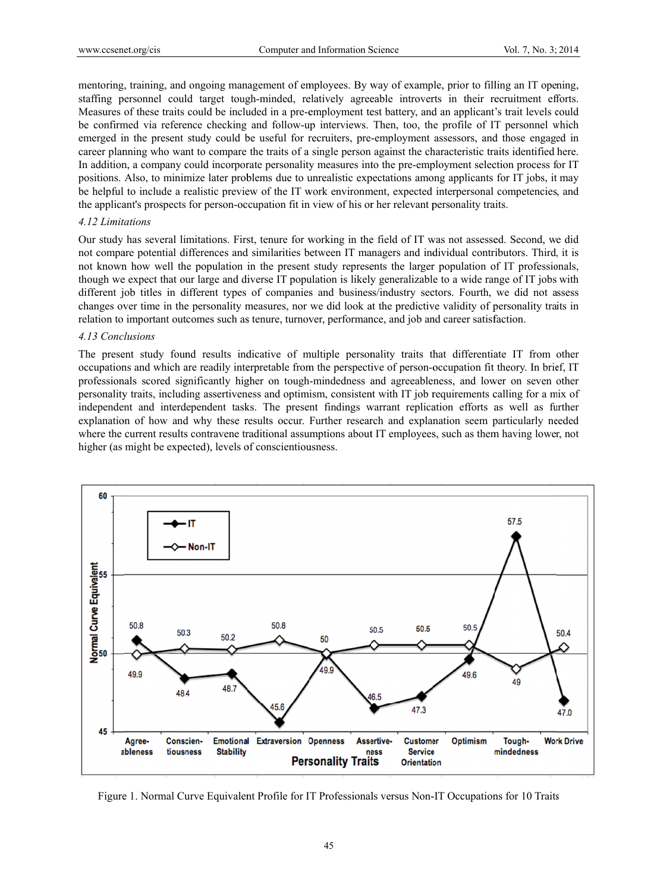mentoring, training, and ongoing management of employees. By way of example, prior to filling an IT opening, staffing personnel could target tough-minded, relatively agreeable introverts in their recruitment efforts. Measures of these traits could be included in a pre-employment test battery, and an applicant's trait levels could be confirmed via reference checking and follow-up interviews. Then, too, the profile of IT personnel which emerged in the present study could be useful for recruiters, pre-employment assessors, and those engaged in career planning who want to compare the traits of a single person against the characteristic traits identified here. In addition, a company could incorporate personality measures into the pre-employment selection process for IT positions. Also, to minimize later problems due to unrealistic expectations among applicants for IT jobs, it may be helpful to include a realistic preview of the IT work environment, expected interpersonal competencies, and the applicant's prospects for person-occupation fit in view of his or her relevant personality traits.

#### *4.12 Limit tations*

Our study has several limitations. First, tenure for working in the field of IT was not assessed. Second, we did not compare potential differences and similarities between IT managers and individual contributors. Third, it is not known how well the population in the present study represents the larger population of IT professionals, though we expect that our large and diverse IT population is likely generalizable to a wide range of IT jobs with different job titles in different types of companies and business/industry sectors. Fourth, we did not assess changes over time in the personality measures, nor we did look at the predictive validity of personality traits in relation to important outcomes such as tenure, turnover, performance, and job and career satisfaction.

#### *4.13 Conc clusions*

The present study found results indicative of multiple personality traits that differentiate IT from other occupations and which are readily interpretable from the perspective of person-occupation fit theory. In brief, IT professionals scored significantly higher on tough-mindedness and agreeableness, and lower on seven other personality traits, including assertiveness and optimism, consistent with IT job requirements calling for a mix of independent and interdependent tasks. The present findings warrant replication efforts as well as further explanation of how and why these results occur. Further research and explanation seem particularly needed where the current results contravene traditional assumptions about IT employees, such as them having lower, not higher (as might be expected), levels of conscientiousness.



Figure 1. Normal Curve Equivalent Profile for IT Professionals versus Non-IT Occupations for 10 Traits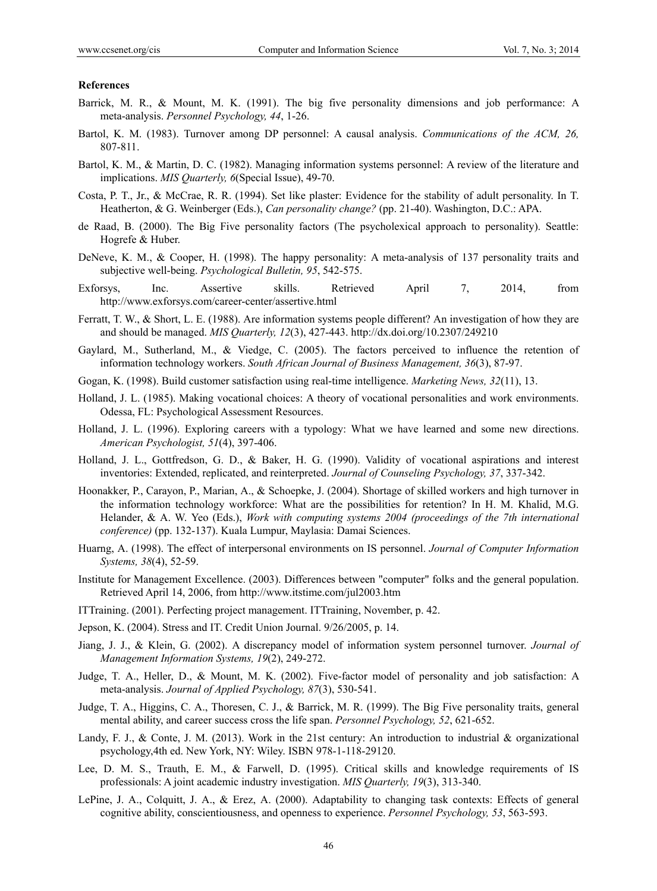#### **References**

- Barrick, M. R., & Mount, M. K. (1991). The big five personality dimensions and job performance: A meta-analysis. *Personnel Psychology, 44*, 1-26.
- Bartol, K. M. (1983). Turnover among DP personnel: A causal analysis. *Communications of the ACM, 26,*  807-811.
- Bartol, K. M., & Martin, D. C. (1982). Managing information systems personnel: A review of the literature and implications. *MIS Quarterly, 6*(Special Issue), 49-70.
- Costa, P. T., Jr., & McCrae, R. R. (1994). Set like plaster: Evidence for the stability of adult personality. In T. Heatherton, & G. Weinberger (Eds.), *Can personality change?* (pp. 21-40). Washington, D.C.: APA.
- de Raad, B. (2000). The Big Five personality factors (The psycholexical approach to personality). Seattle: Hogrefe & Huber.
- DeNeve, K. M., & Cooper, H. (1998). The happy personality: A meta-analysis of 137 personality traits and subjective well-being. *Psychological Bulletin, 95*, 542-575.
- Exforsys, Inc. Assertive skills. Retrieved April 7, 2014, from http://www.exforsys.com/career-center/assertive.html
- Ferratt, T. W., & Short, L. E. (1988). Are information systems people different? An investigation of how they are and should be managed. *MIS Quarterly, 12*(3), 427-443. http://dx.doi.org/10.2307/249210
- Gaylard, M., Sutherland, M., & Viedge, C. (2005). The factors perceived to influence the retention of information technology workers. *South African Journal of Business Management, 36*(3), 87-97.
- Gogan, K. (1998). Build customer satisfaction using real-time intelligence. *Marketing News, 32*(11), 13.
- Holland, J. L. (1985). Making vocational choices: A theory of vocational personalities and work environments. Odessa, FL: Psychological Assessment Resources.
- Holland, J. L. (1996). Exploring careers with a typology: What we have learned and some new directions. *American Psychologist, 51*(4), 397-406.
- Holland, J. L., Gottfredson, G. D., & Baker, H. G. (1990). Validity of vocational aspirations and interest inventories: Extended, replicated, and reinterpreted. *Journal of Counseling Psychology, 37*, 337-342.
- Hoonakker, P., Carayon, P., Marian, A., & Schoepke, J. (2004). Shortage of skilled workers and high turnover in the information technology workforce: What are the possibilities for retention? In H. M. Khalid, M.G. Helander, & A. W. Yeo (Eds.), *Work with computing systems 2004 (proceedings of the 7th international conference)* (pp. 132-137). Kuala Lumpur, Maylasia: Damai Sciences.
- Huarng, A. (1998). The effect of interpersonal environments on IS personnel. *Journal of Computer Information Systems, 38*(4), 52-59.
- Institute for Management Excellence. (2003). Differences between "computer" folks and the general population. Retrieved April 14, 2006, from http://www.itstime.com/jul2003.htm
- ITTraining. (2001). Perfecting project management. ITTraining, November, p. 42.
- Jepson, K. (2004). Stress and IT. Credit Union Journal. 9/26/2005, p. 14.
- Jiang, J. J., & Klein, G. (2002). A discrepancy model of information system personnel turnover. *Journal of Management Information Systems, 19*(2), 249-272.
- Judge, T. A., Heller, D., & Mount, M. K. (2002). Five-factor model of personality and job satisfaction: A meta-analysis. *Journal of Applied Psychology, 87*(3), 530-541.
- Judge, T. A., Higgins, C. A., Thoresen, C. J., & Barrick, M. R. (1999). The Big Five personality traits, general mental ability, and career success cross the life span. *Personnel Psychology, 52*, 621-652.
- Landy, F. J., & Conte, J. M. (2013). Work in the 21st century: An introduction to industrial & organizational psychology,4th ed. New York, NY: Wiley. ISBN 978-1-118-29120.
- Lee, D. M. S., Trauth, E. M., & Farwell, D. (1995). Critical skills and knowledge requirements of IS professionals: A joint academic industry investigation. *MIS Quarterly, 19*(3), 313-340.
- LePine, J. A., Colquitt, J. A., & Erez, A. (2000). Adaptability to changing task contexts: Effects of general cognitive ability, conscientiousness, and openness to experience. *Personnel Psychology, 53*, 563-593.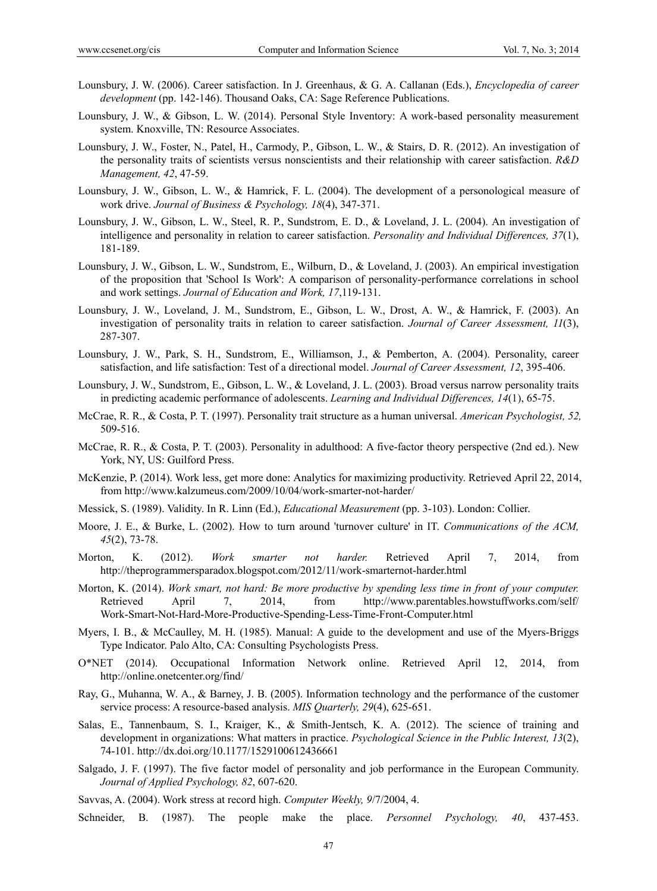- Lounsbury, J. W. (2006). Career satisfaction. In J. Greenhaus, & G. A. Callanan (Eds.), *Encyclopedia of career development* (pp. 142-146). Thousand Oaks, CA: Sage Reference Publications.
- Lounsbury, J. W., & Gibson, L. W. (2014). Personal Style Inventory: A work-based personality measurement system. Knoxville, TN: Resource Associates.
- Lounsbury, J. W., Foster, N., Patel, H., Carmody, P., Gibson, L. W., & Stairs, D. R. (2012). An investigation of the personality traits of scientists versus nonscientists and their relationship with career satisfaction. *R&D Management, 42*, 47-59.
- Lounsbury, J. W., Gibson, L. W., & Hamrick, F. L. (2004). The development of a personological measure of work drive. *Journal of Business & Psychology, 18*(4), 347-371.
- Lounsbury, J. W., Gibson, L. W., Steel, R. P., Sundstrom, E. D., & Loveland, J. L. (2004). An investigation of intelligence and personality in relation to career satisfaction. *Personality and Individual Differences, 37*(1), 181-189.
- Lounsbury, J. W., Gibson, L. W., Sundstrom, E., Wilburn, D., & Loveland, J. (2003). An empirical investigation of the proposition that 'School Is Work': A comparison of personality-performance correlations in school and work settings. *Journal of Education and Work, 17*,119-131.
- Lounsbury, J. W., Loveland, J. M., Sundstrom, E., Gibson, L. W., Drost, A. W., & Hamrick, F. (2003). An investigation of personality traits in relation to career satisfaction. *Journal of Career Assessment, 11*(3), 287-307.
- Lounsbury, J. W., Park, S. H., Sundstrom, E., Williamson, J., & Pemberton, A. (2004). Personality, career satisfaction, and life satisfaction: Test of a directional model. *Journal of Career Assessment, 12*, 395-406.
- Lounsbury, J. W., Sundstrom, E., Gibson, L. W., & Loveland, J. L. (2003). Broad versus narrow personality traits in predicting academic performance of adolescents. *Learning and Individual Differences, 14*(1), 65-75.
- McCrae, R. R., & Costa, P. T. (1997). Personality trait structure as a human universal. *American Psychologist, 52,*  509-516.
- McCrae, R. R., & Costa, P. T. (2003). Personality in adulthood: A five-factor theory perspective (2nd ed.). New York, NY, US: Guilford Press.
- McKenzie, P. (2014). Work less, get more done: Analytics for maximizing productivity. Retrieved April 22, 2014, from http://www.kalzumeus.com/2009/10/04/work-smarter-not-harder/
- Messick, S. (1989). Validity. In R. Linn (Ed.), *Educational Measurement* (pp. 3-103). London: Collier.
- Moore, J. E., & Burke, L. (2002). How to turn around 'turnover culture' in IT. *Communications of the ACM, 45*(2), 73-78.
- Morton, K. (2012). *Work smarter not harder.* Retrieved April 7, 2014, from http://theprogrammersparadox.blogspot.com/2012/11/work-smarternot-harder.html
- Morton, K. (2014). *Work smart, not hard: Be more productive by spending less time in front of your computer.* Retrieved April 7, 2014, from http://www.parentables.howstuffworks.com/self/ Work-Smart-Not-Hard-More-Productive-Spending-Less-Time-Front-Computer.html
- Myers, I. B., & McCaulley, M. H. (1985). Manual: A guide to the development and use of the Myers-Briggs Type Indicator. Palo Alto, CA: Consulting Psychologists Press.
- O\*NET (2014). Occupational Information Network online. Retrieved April 12, 2014, from http://online.onetcenter.org/find/
- Ray, G., Muhanna, W. A., & Barney, J. B. (2005). Information technology and the performance of the customer service process: A resource-based analysis. *MIS Quarterly, 29*(4), 625-651.
- Salas, E., Tannenbaum, S. I., Kraiger, K., & Smith-Jentsch, K. A. (2012). The science of training and development in organizations: What matters in practice. *Psychological Science in the Public Interest, 13*(2), 74-101. http://dx.doi.org/10.1177/1529100612436661
- Salgado, J. F. (1997). The five factor model of personality and job performance in the European Community. *Journal of Applied Psychology, 82*, 607-620.
- Savvas, A. (2004). Work stress at record high. *Computer Weekly, 9*/7/2004, 4.
- Schneider, B. (1987). The people make the place. *Personnel Psychology, 40*, 437-453.